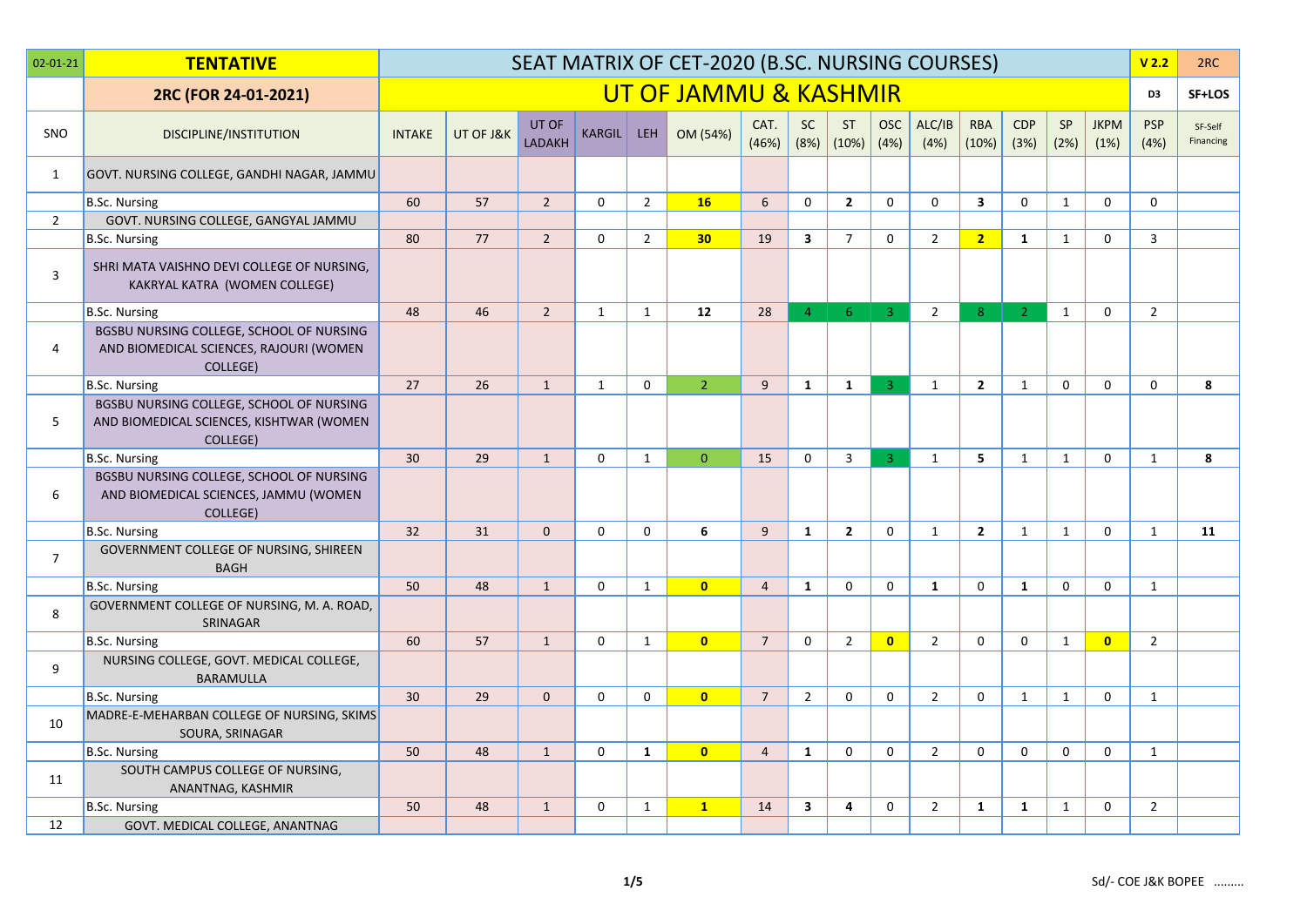| $02 - 01 - 21$ | <b>TENTATIVE</b>                                                                                 |               |           |                        |              |                | SEAT MATRIX OF CET-2020 (B.SC. NURSING COURSES) |                |                         |                    |                    |                |                     |                    |                   |                     | V <sub>2.2</sub>   | 2RC                  |
|----------------|--------------------------------------------------------------------------------------------------|---------------|-----------|------------------------|--------------|----------------|-------------------------------------------------|----------------|-------------------------|--------------------|--------------------|----------------|---------------------|--------------------|-------------------|---------------------|--------------------|----------------------|
|                | 2RC (FOR 24-01-2021)                                                                             |               |           |                        |              |                | UT OF JAMMU & KASHMIR                           |                |                         |                    |                    |                |                     |                    |                   |                     | D <sub>3</sub>     | SF+LOS               |
| SNO            | DISCIPLINE/INSTITUTION                                                                           | <b>INTAKE</b> | UT OF J&K | UT OF<br><b>LADAKH</b> | KARGIL       | <b>LEH</b>     | OM (54%)                                        | CAT.<br>(46%)  | <b>SC</b><br>(8%)       | <b>ST</b><br>(10%) | <b>OSC</b><br>(4%) | ALC/IB<br>(4%) | <b>RBA</b><br>(10%) | <b>CDP</b><br>(3%) | <b>SP</b><br>(2%) | <b>JKPM</b><br>(1%) | <b>PSP</b><br>(4%) | SF-Self<br>Financing |
| 1              | GOVT. NURSING COLLEGE, GANDHI NAGAR, JAMMU                                                       |               |           |                        |              |                |                                                 |                |                         |                    |                    |                |                     |                    |                   |                     |                    |                      |
|                | <b>B.Sc. Nursing</b>                                                                             | 60            | 57        | $\overline{2}$         | $\mathbf{0}$ | $2^{\circ}$    | 16                                              | 6              | 0                       | $\overline{2}$     | $\Omega$           | $\Omega$       | 3                   | $\Omega$           | $\mathbf{1}$      | 0                   | $\Omega$           |                      |
| $\overline{2}$ | GOVT. NURSING COLLEGE, GANGYAL JAMMU                                                             |               |           |                        |              |                |                                                 |                |                         |                    |                    |                |                     |                    |                   |                     |                    |                      |
|                | <b>B.Sc. Nursing</b>                                                                             | 80            | 77        | $\overline{2}$         | $\mathbf 0$  | $\overline{2}$ | 30                                              | 19             | $\overline{\mathbf{3}}$ | $\overline{7}$     | 0                  | $\overline{2}$ | $\overline{2}$      | 1                  | $\mathbf{1}$      | $\mathbf 0$         | $\overline{3}$     |                      |
| 3              | SHRI MATA VAISHNO DEVI COLLEGE OF NURSING,<br>KAKRYAL KATRA (WOMEN COLLEGE)                      |               |           |                        |              |                |                                                 |                |                         |                    |                    |                |                     |                    |                   |                     |                    |                      |
|                | <b>B.Sc. Nursing</b>                                                                             | 48            | 46        | $\overline{2}$         | 1            | 1              | 12                                              | 28             | 4 <sup>1</sup>          | -6                 | $\overline{3}$     | $\overline{2}$ | 8 <sup>°</sup>      | $\overline{2}$     | $\mathbf{1}$      | $\mathbf 0$         | $\overline{2}$     |                      |
| 4              | BGSBU NURSING COLLEGE, SCHOOL OF NURSING<br>AND BIOMEDICAL SCIENCES, RAJOURI (WOMEN<br>COLLEGE)  |               |           |                        |              |                |                                                 |                |                         |                    |                    |                |                     |                    |                   |                     |                    |                      |
|                | <b>B.Sc. Nursing</b>                                                                             | 27            | 26        | $\mathbf{1}$           | $\mathbf{1}$ | $\mathbf 0$    | 2 <sup>1</sup>                                  | 9              | $\mathbf{1}$            | $\mathbf{1}$       | $\overline{3}$     | 1              | $\overline{2}$      | $\mathbf{1}$       | $\Omega$          | $\mathbf{0}$        | $\mathbf{0}$       | 8                    |
| 5              | BGSBU NURSING COLLEGE, SCHOOL OF NURSING<br>AND BIOMEDICAL SCIENCES, KISHTWAR (WOMEN<br>COLLEGE) |               |           |                        |              |                |                                                 |                |                         |                    |                    |                |                     |                    |                   |                     |                    |                      |
|                | <b>B.Sc. Nursing</b>                                                                             | 30            | 29        | $\mathbf{1}$           | $\Omega$     | $\mathbf{1}$   | $\mathbf{0}$                                    | 15             | $\mathbf{0}$            | $\overline{3}$     | $\overline{3}$     | 1              | 5 <sup>1</sup>      | $\mathbf{1}$       | $\mathbf{1}$      | $\mathbf{0}$        | $\mathbf{1}$       | 8                    |
| 6              | BGSBU NURSING COLLEGE, SCHOOL OF NURSING<br>AND BIOMEDICAL SCIENCES, JAMMU (WOMEN<br>COLLEGE)    |               |           |                        |              |                |                                                 |                |                         |                    |                    |                |                     |                    |                   |                     |                    |                      |
|                | B.Sc. Nursing                                                                                    | 32            | 31        | $\mathbf{0}$           | $\mathbf 0$  | $\mathbf 0$    | 6                                               | 9              | $\mathbf{1}$            | $\overline{2}$     | $\mathbf 0$        | 1              | $\overline{2}$      | 1                  | $\mathbf{1}$      | $\mathbf 0$         | $\mathbf{1}$       | 11                   |
| $\overline{7}$ | GOVERNMENT COLLEGE OF NURSING, SHIREEN<br><b>BAGH</b>                                            |               |           |                        |              |                |                                                 |                |                         |                    |                    |                |                     |                    |                   |                     |                    |                      |
|                | <b>B.Sc. Nursing</b>                                                                             | 50            | 48        | $\mathbf{1}$           | $\mathbf 0$  | $\mathbf{1}$   | $\overline{0}$                                  | $\overline{4}$ | $\mathbf{1}$            | $\mathbf 0$        | $\mathbf 0$        | 1              | $\mathbf 0$         | $\mathbf{1}$       | $\mathbf 0$       | $\mathbf 0$         | 1                  |                      |
| 8              | GOVERNMENT COLLEGE OF NURSING, M. A. ROAD,<br>SRINAGAR                                           |               |           |                        |              |                |                                                 |                |                         |                    |                    |                |                     |                    |                   |                     |                    |                      |
|                | <b>B.Sc. Nursing</b>                                                                             | 60            | 57        | $\mathbf{1}$           | $\Omega$     | $\mathbf{1}$   | $\bullet$                                       | $\overline{7}$ | $\mathbf 0$             | $\overline{2}$     | $\overline{0}$     | $\overline{2}$ | $\Omega$            | $\mathbf{0}$       | $\mathbf{1}$      | $\overline{0}$      | $\overline{2}$     |                      |
| 9              | NURSING COLLEGE, GOVT. MEDICAL COLLEGE,<br><b>BARAMULLA</b>                                      |               |           |                        |              |                |                                                 |                |                         |                    |                    |                |                     |                    |                   |                     |                    |                      |
|                | <b>B.Sc. Nursing</b>                                                                             | 30            | 29        | $\Omega$               | $\Omega$     | $\mathbf 0$    | $\overline{0}$                                  | $\overline{7}$ | $\overline{2}$          | $\Omega$           | $\Omega$           | $\overline{2}$ | $\mathbf 0$         | $\mathbf{1}$       | $\mathbf{1}$      | $\mathbf 0$         | 1                  |                      |
| 10             | MADRE-E-MEHARBAN COLLEGE OF NURSING, SKIMS<br>SOURA, SRINAGAR                                    |               |           |                        |              |                |                                                 |                |                         |                    |                    |                |                     |                    |                   |                     |                    |                      |
|                | B.Sc. Nursing                                                                                    | 50            | 48        | $\mathbf{1}$           | $\mathbf 0$  | $\mathbf{1}$   | $\overline{\mathbf{0}}$                         | $\overline{4}$ | $\mathbf{1}$            | $\mathbf 0$        | 0                  | $\overline{2}$ | $\mathbf 0$         | $\mathbf{0}$       | $\mathbf 0$       | $\mathbf 0$         | 1                  |                      |
| 11             | SOUTH CAMPUS COLLEGE OF NURSING,<br>ANANTNAG, KASHMIR                                            |               |           |                        |              |                |                                                 |                |                         |                    |                    |                |                     |                    |                   |                     |                    |                      |
|                | <b>B.Sc. Nursing</b>                                                                             | 50            | 48        | $\mathbf{1}$           | $\mathbf 0$  | $\mathbf{1}$   | $\mathbf{1}$                                    | 14             | $\overline{\mathbf{3}}$ | 4                  | 0                  | $\overline{2}$ | $\mathbf{1}$        | $\mathbf{1}$       | $\mathbf{1}$      | $\mathbf 0$         | $\overline{2}$     |                      |
| 12             | GOVT. MEDICAL COLLEGE, ANANTNAG                                                                  |               |           |                        |              |                |                                                 |                |                         |                    |                    |                |                     |                    |                   |                     |                    |                      |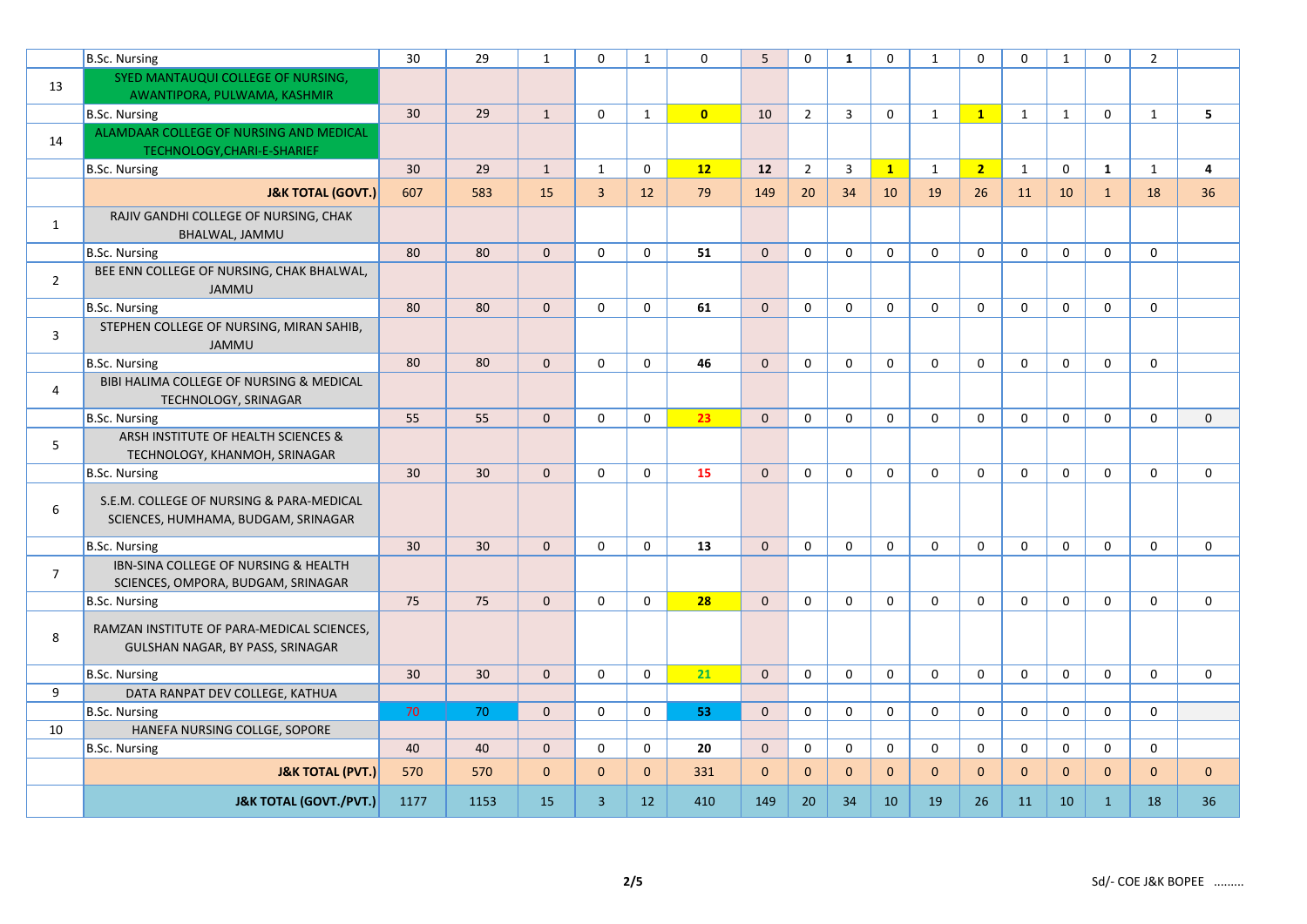|                | B.Sc. Nursing                                                                   | 30              | 29   | $\mathbf{1}$ | $\Omega$       | $\mathbf{1}$ | $\Omega$       | 5            | $\Omega$       | $\mathbf{1}$ | $\Omega$     | 1            | $\Omega$       | $\Omega$     | $\mathbf{1}$ | $\mathbf{0}$ | $\overline{2}$ |                |
|----------------|---------------------------------------------------------------------------------|-----------------|------|--------------|----------------|--------------|----------------|--------------|----------------|--------------|--------------|--------------|----------------|--------------|--------------|--------------|----------------|----------------|
| 13             | SYED MANTAUQUI COLLEGE OF NURSING,                                              |                 |      |              |                |              |                |              |                |              |              |              |                |              |              |              |                |                |
|                | AWANTIPORA, PULWAMA, KASHMIR                                                    |                 |      |              |                |              |                |              |                |              |              |              |                |              |              |              |                |                |
|                | B.Sc. Nursing                                                                   | 30              | 29   | $\mathbf{1}$ | $\mathbf 0$    | $\mathbf{1}$ | $\overline{0}$ | 10           | $\overline{2}$ | 3            | $\mathbf 0$  | $\mathbf{1}$ | $\mathbf{1}$   | $\mathbf{1}$ | $\mathbf{1}$ | $\mathbf 0$  | $\mathbf{1}$   | 5              |
| 14             | ALAMDAAR COLLEGE OF NURSING AND MEDICAL<br>TECHNOLOGY, CHARI-E-SHARIEF          |                 |      |              |                |              |                |              |                |              |              |              |                |              |              |              |                |                |
|                | B.Sc. Nursing                                                                   | 30 <sup>°</sup> | 29   | $\mathbf{1}$ | 1              | $\mathbf 0$  | 12             | 12           | $\overline{2}$ | 3            | $\mathbf{1}$ | $\mathbf{1}$ | $\overline{2}$ | $\mathbf{1}$ | 0            | 1            | $\mathbf{1}$   | $\overline{a}$ |
|                | <b>J&amp;K TOTAL (GOVT.)</b>                                                    | 607             | 583  | 15           | $\overline{3}$ | 12           | 79             | 149          | 20             | 34           | 10           | 19           | 26             | 11           | 10           | $\mathbf{1}$ | 18             | 36             |
| $\mathbf{1}$   | RAJIV GANDHI COLLEGE OF NURSING, CHAK<br>BHALWAL, JAMMU                         |                 |      |              |                |              |                |              |                |              |              |              |                |              |              |              |                |                |
|                | B.Sc. Nursing                                                                   | 80              | 80   | $\mathbf{0}$ | $\mathbf 0$    | $\mathbf 0$  | 51             | $\mathbf{0}$ | $\mathbf 0$    | $\mathbf 0$  | 0            | $\mathbf 0$  | $\mathbf 0$    | $\mathbf 0$  | 0            | $\mathbf 0$  | $\mathbf 0$    |                |
| $\overline{2}$ | BEE ENN COLLEGE OF NURSING, CHAK BHALWAL,<br><b>JAMMU</b>                       |                 |      |              |                |              |                |              |                |              |              |              |                |              |              |              |                |                |
|                | B.Sc. Nursing                                                                   | 80              | 80   | $\mathbf{0}$ | $\mathbf 0$    | $\mathbf 0$  | 61             | $\mathbf{0}$ | $\mathbf 0$    | $\mathbf 0$  | $\mathbf 0$  | $\mathbf 0$  | $\mathbf 0$    | 0            | $\mathbf 0$  | $\mathbf 0$  | $\mathbf 0$    |                |
| $\overline{3}$ | STEPHEN COLLEGE OF NURSING, MIRAN SAHIB,<br><b>JAMMU</b>                        |                 |      |              |                |              |                |              |                |              |              |              |                |              |              |              |                |                |
|                | B.Sc. Nursing                                                                   | 80              | 80   | $\mathbf{0}$ | $\mathbf 0$    | $\mathbf 0$  | 46             | $\mathbf 0$  | 0              | $\mathbf 0$  | $\mathbf 0$  | $\mathbf 0$  | $\mathbf 0$    | $\mathbf 0$  | $\mathsf 0$  | $\mathbf 0$  | $\mathbf 0$    |                |
| $\overline{4}$ | BIBI HALIMA COLLEGE OF NURSING & MEDICAL<br>TECHNOLOGY, SRINAGAR                |                 |      |              |                |              |                |              |                |              |              |              |                |              |              |              |                |                |
|                | B.Sc. Nursing                                                                   | 55              | 55   | $\mathbf{0}$ | $\mathbf 0$    | $\mathbf 0$  | 23             | $\mathbf{0}$ | $\mathbf 0$    | $\mathbf 0$  | $\mathbf 0$  | $\mathbf 0$  | $\mathbf 0$    | $\mathbf 0$  | $\mathbf 0$  | $\mathbf 0$  | $\mathbf 0$    | $\mathbf 0$    |
| 5              | ARSH INSTITUTE OF HEALTH SCIENCES &<br>TECHNOLOGY, KHANMOH, SRINAGAR            |                 |      |              |                |              |                |              |                |              |              |              |                |              |              |              |                |                |
|                | B.Sc. Nursing                                                                   | 30              | 30   | $\mathbf{0}$ | $\mathbf{0}$   | $\mathbf 0$  | 15             | $\Omega$     | 0              | $\Omega$     | $\Omega$     | $\Omega$     | $\Omega$       | $\Omega$     | $\mathbf 0$  | $\mathbf{0}$ | $\mathbf 0$    | $\mathbf 0$    |
| $\,6\,$        | S.E.M. COLLEGE OF NURSING & PARA-MEDICAL<br>SCIENCES, HUMHAMA, BUDGAM, SRINAGAR |                 |      |              |                |              |                |              |                |              |              |              |                |              |              |              |                |                |
|                | <b>B.Sc. Nursing</b>                                                            | 30              | 30   | $\Omega$     | $\mathbf 0$    | $\mathbf 0$  | 13             | $\Omega$     | $\mathbf 0$    | $\mathbf 0$  | $\mathbf 0$  | $\Omega$     | $\Omega$       | $\Omega$     | $\mathbf 0$  | $\mathbf 0$  | 0              | $\mathbf 0$    |
| $\overline{7}$ | IBN-SINA COLLEGE OF NURSING & HEALTH<br>SCIENCES, OMPORA, BUDGAM, SRINAGAR      |                 |      |              |                |              |                |              |                |              |              |              |                |              |              |              |                |                |
|                | B.Sc. Nursing                                                                   | 75              | 75   | $\Omega$     | $\mathbf{0}$   | $\mathbf 0$  | 28             | $\Omega$     | $\mathbf 0$    | $\mathbf 0$  | $\Omega$     | $\mathbf{0}$ | $\Omega$       | $\Omega$     | $\mathbf 0$  | $\mathbf{0}$ | $\Omega$       | $\mathbf 0$    |
| 8              | RAMZAN INSTITUTE OF PARA-MEDICAL SCIENCES,<br>GULSHAN NAGAR, BY PASS, SRINAGAR  |                 |      |              |                |              |                |              |                |              |              |              |                |              |              |              |                |                |
|                | B.Sc. Nursing                                                                   | 30              | 30   | $\Omega$     | $\mathbf{0}$   | $\mathbf 0$  | 21             | $\Omega$     | $\Omega$       | $\Omega$     | $\Omega$     | $\mathbf{0}$ | $\Omega$       | $\Omega$     | $\mathbf 0$  | $\mathbf{0}$ | $\Omega$       | $\mathbf{0}$   |
| 9              | DATA RANPAT DEV COLLEGE, KATHUA                                                 |                 |      |              |                |              |                |              |                |              |              |              |                |              |              |              |                |                |
|                | B.Sc. Nursing                                                                   | 70              | 70   | $\mathbf{0}$ | $\mathbf 0$    | $\mathbf 0$  | 53             | $\mathbf{0}$ | 0              | $\mathbf 0$  | $\mathbf 0$  | $\mathbf 0$  | $\mathbf 0$    | $\mathbf 0$  | $\mathbf 0$  | $\mathbf 0$  | $\mathbf 0$    |                |
| 10             | HANEFA NURSING COLLGE, SOPORE                                                   |                 |      |              |                |              |                |              |                |              |              |              |                |              |              |              |                |                |
|                | B.Sc. Nursing                                                                   | 40              | 40   | $\mathbf{0}$ | $\mathbf 0$    | $\mathbf 0$  | 20             | $\mathbf{0}$ | 0              | $\mathbf 0$  | $\mathbf 0$  | $\mathbf 0$  | $\mathbf 0$    | $\mathbf 0$  | $\mathbf 0$  | $\mathbf 0$  | $\mathbf 0$    |                |
|                | <b>J&amp;K TOTAL (PVT.)</b>                                                     | 570             | 570  | $\mathbf{0}$ | $\mathbf{0}$   | $\mathbf{0}$ | 331            | $\mathbf{0}$ | $\mathbf{0}$   | $\mathbf{0}$ | $\mathbf{0}$ | $\mathbf{0}$ | $\mathbf{0}$   | $\mathbf{0}$ | $\mathbf{0}$ | $\mathbf{0}$ | $\mathbf{0}$   | $\mathbf{0}$   |
|                | <b>J&amp;K TOTAL (GOVT./PVT.)</b>                                               | 1177            | 1153 | 15           | $\overline{3}$ | 12           | 410            | 149          | 20             | 34           | 10           | 19           | 26             | 11           | 10           | $\mathbf{1}$ | 18             | 36             |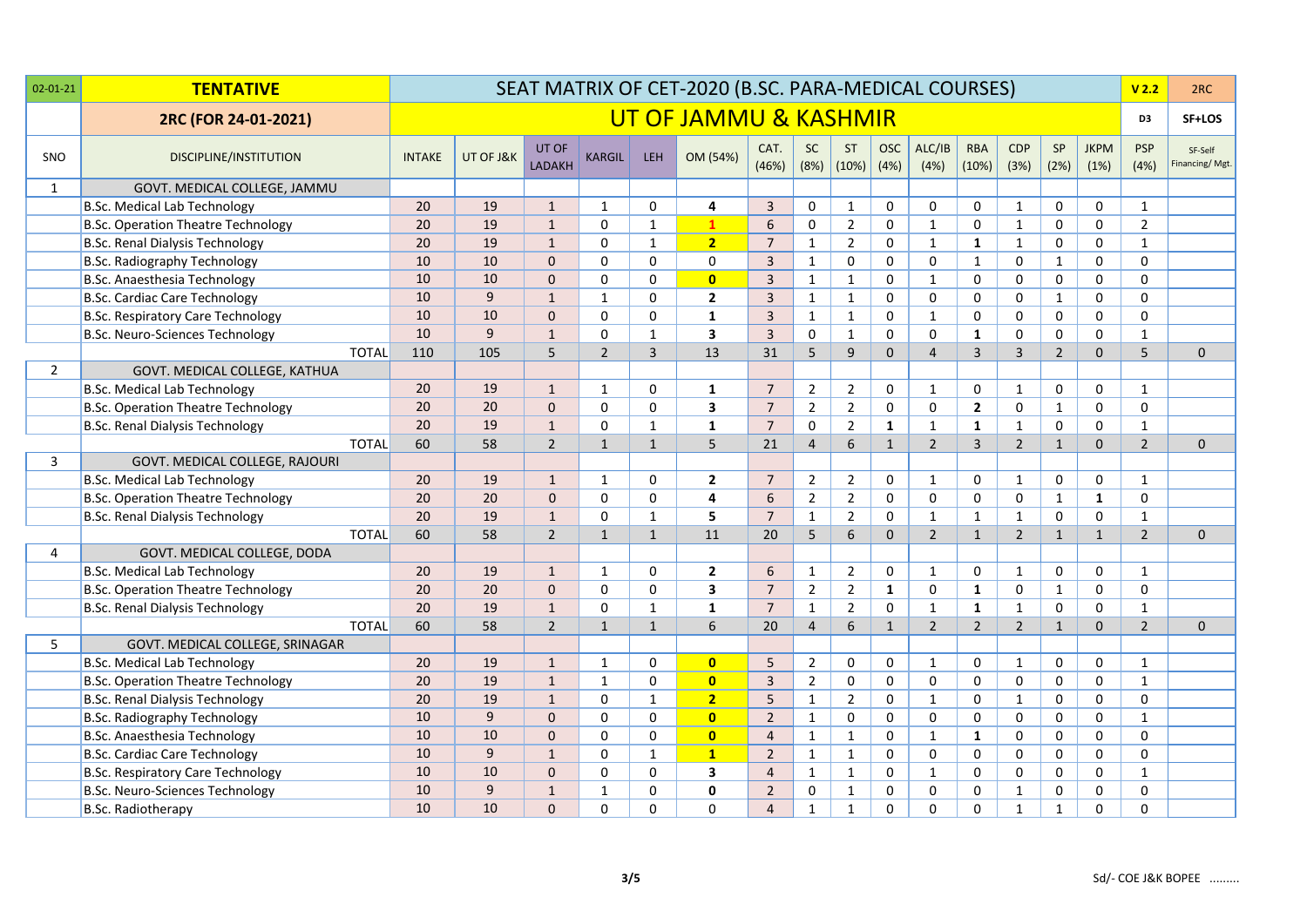| $02 - 01 - 21$ | <b>TENTATIVE</b>                          |               |             |                        |                |                         | SEAT MATRIX OF CET-2020 (B.SC. PARA-MEDICAL COURSES) |                |                   |                    |                    |                |                     |                    |                |                     | V <sub>2.2</sub>   | 2RC                       |
|----------------|-------------------------------------------|---------------|-------------|------------------------|----------------|-------------------------|------------------------------------------------------|----------------|-------------------|--------------------|--------------------|----------------|---------------------|--------------------|----------------|---------------------|--------------------|---------------------------|
|                | 2RC (FOR 24-01-2021)                      |               |             |                        |                |                         | UT OF JAMMU & KASHMIR                                |                |                   |                    |                    |                |                     |                    |                |                     | D3                 | SF+LOS                    |
| SNO            | <b>DISCIPLINE/INSTITUTION</b>             | <b>INTAKE</b> | UT OF J&K   | UT OF<br><b>LADAKH</b> | <b>KARGIL</b>  | LEH <sub>1</sub>        | OM (54%)                                             | CAT.<br>(46%)  | <b>SC</b><br>(8%) | <b>ST</b><br>(10%) | <b>OSC</b><br>(4%) | ALC/IB<br>(4%) | <b>RBA</b><br>(10%) | <b>CDP</b><br>(3%) | SP<br>(2%)     | <b>JKPM</b><br>(1%) | <b>PSP</b><br>(4%) | SF-Self<br>Financing/Mgt. |
| $\mathbf{1}$   | GOVT. MEDICAL COLLEGE, JAMMU              |               |             |                        |                |                         |                                                      |                |                   |                    |                    |                |                     |                    |                |                     |                    |                           |
|                | <b>B.Sc. Medical Lab Technology</b>       | 20            | 19          | $\mathbf{1}$           | 1              | 0                       | 4                                                    | 3              | 0                 | $\mathbf{1}$       | $\mathbf 0$        | $\mathbf 0$    | 0                   | $\mathbf{1}$       | 0              | $\mathbf 0$         | $\mathbf{1}$       |                           |
|                | <b>B.Sc. Operation Theatre Technology</b> | 20            | 19          | $\mathbf{1}$           | $\mathbf 0$    | $\mathbf 1$             | $\mathbf{1}$                                         | $6\phantom{1}$ | 0                 | $2^{\circ}$        | $\mathbf 0$        | $\mathbf{1}$   | 0                   | $\mathbf{1}$       | 0              | $\mathsf{O}$        | $\overline{2}$     |                           |
|                | <b>B.Sc. Renal Dialysis Technology</b>    | 20            | 19          | $\mathbf{1}$           | 0              | $\mathbf 1$             | 2 <sub>2</sub>                                       | $\overline{7}$ | $\mathbf 1$       | $2^{\circ}$        | $\mathbf 0$        | $\mathbf{1}$   | $\mathbf{1}$        | $\mathbf{1}$       | $\mathsf 0$    | $\mathbf 0$         | $\mathbf{1}$       |                           |
|                | <b>B.Sc. Radiography Technology</b>       | 10            | 10          | $\mathbf{0}$           | 0              | 0                       | 0                                                    | $\overline{3}$ | $\mathbf{1}$      | 0                  | $\mathbf 0$        | 0              | $\mathbf 1$         | $\mathbf 0$        | $\mathbf 1$    | $\mathbf 0$         | 0                  |                           |
|                | B.Sc. Anaesthesia Technology              | 10            | 10          | $\mathbf 0$            | 0              | 0                       | $\overline{\mathbf{0}}$                              | $\overline{3}$ | $\mathbf{1}$      | $\mathbf{1}$       | $\mathbf 0$        | $\mathbf{1}$   | 0                   | $\mathsf 0$        | 0              | $\mathbf 0$         | 0                  |                           |
|                | <b>B.Sc. Cardiac Care Technology</b>      | 10            | $\mathsf g$ | $\mathbf{1}$           | $\mathbf{1}$   | 0                       | $\mathbf{2}$                                         | $\overline{3}$ | $\mathbf{1}$      | $\mathbf{1}$       | $\mathbf 0$        | 0              | 0                   | $\mathsf 0$        | $\mathbf 1$    | $\mathbf 0$         | 0                  |                           |
|                | <b>B.Sc. Respiratory Care Technology</b>  | 10            | 10          | $\pmb{0}$              | 0              | 0                       | $\mathbf 1$                                          | $\overline{3}$ | $\mathbf{1}$      | $\mathbf{1}$       | 0                  | $\mathbf{1}$   | 0                   | $\mathbf 0$        | 0              | $\mathbf 0$         | 0                  |                           |
|                | B.Sc. Neuro-Sciences Technology           | 10            | $\mathsf g$ | $\mathbf{1}$           | 0              | $\mathbf 1$             | 3                                                    | $\overline{3}$ | 0                 | $\mathbf{1}$       | 0                  | $\mathbf 0$    | $\mathbf{1}$        | $\mathbf 0$        | $\mathsf 0$    | $\mathbf 0$         | $\mathbf{1}$       |                           |
|                | <b>TOTAL</b>                              | 110           | 105         | 5                      | $\overline{2}$ | $\overline{\mathbf{3}}$ | 13                                                   | 31             | 5                 | $\mathsf g$        | $\mathbf{0}$       | $\overline{4}$ | $\mathbf{3}$        | $\overline{3}$     | $\overline{2}$ | $\mathbf{0}$        | 5                  | $\mathsf{O}\xspace$       |
| $\overline{2}$ | GOVT. MEDICAL COLLEGE, KATHUA             |               |             |                        |                |                         |                                                      |                |                   |                    |                    |                |                     |                    |                |                     |                    |                           |
|                | <b>B.Sc. Medical Lab Technology</b>       | 20            | 19          | $\mathbf{1}$           | $\mathbf{1}$   | 0                       | $\mathbf{1}$                                         | $\overline{7}$ | $\overline{2}$    | $\overline{2}$     | 0                  | $\mathbf{1}$   | 0                   | $\mathbf{1}$       | 0              | 0                   | $\mathbf{1}$       |                           |
|                | <b>B.Sc. Operation Theatre Technology</b> | 20            | 20          | $\mathbf{0}$           | $\mathbf 0$    | 0                       | 3                                                    | $\overline{7}$ | $\overline{2}$    | $\overline{2}$     | $\mathbf 0$        | 0              | $\mathbf{2}$        | $\mathsf 0$        | $\mathbf{1}$   | $\mathbf 0$         | 0                  |                           |
|                | <b>B.Sc. Renal Dialysis Technology</b>    | 20            | 19          | $1\,$                  | 0              | $\mathbf{1}$            | $\mathbf 1$                                          | $\overline{7}$ | 0                 | $\overline{2}$     | 1                  | $\mathbf{1}$   | $\mathbf{1}$        | $\mathbf{1}$       | $\mathbf 0$    | $\mathbf 0$         | $\mathbf{1}$       |                           |
|                | <b>TOTAL</b>                              | 60            | 58          | $\overline{2}$         | $\mathbf{1}$   | $\mathbf{1}$            | 5                                                    | 21             | $\overline{4}$    | $6\overline{6}$    | $\mathbf{1}$       | $\overline{2}$ | $\overline{3}$      | $\overline{2}$     | $\mathbf{1}$   | $\mathbf{0}$        | $\overline{2}$     | $\mathbf 0$               |
| 3              | GOVT. MEDICAL COLLEGE, RAJOURI            |               |             |                        |                |                         |                                                      |                |                   |                    |                    |                |                     |                    |                |                     |                    |                           |
|                | <b>B.Sc. Medical Lab Technology</b>       | 20            | 19          | $\mathbf{1}$           | 1              | 0                       | $\mathbf{2}$                                         | $\overline{7}$ | $\overline{2}$    | $\overline{2}$     | $\mathbf 0$        | $\mathbf{1}$   | 0                   | $\mathbf{1}$       | 0              | 0                   | $\mathbf{1}$       |                           |
|                | <b>B.Sc. Operation Theatre Technology</b> | 20            | 20          | $\mathbf 0$            | 0              | 0                       | 4                                                    | 6              | $\overline{2}$    | $2^{\circ}$        | $\mathbf 0$        | $\mathbf 0$    | $\mathbf 0$         | $\mathsf 0$        | $\mathbf{1}$   | $\mathbf{1}$        | $\mathbf 0$        |                           |
|                | <b>B.Sc. Renal Dialysis Technology</b>    | 20            | 19          | $\mathbf 1$            | $\mathbf{0}$   | $\mathbf{1}$            | 5                                                    | $\overline{7}$ | $\mathbf{1}$      | $\overline{2}$     | $\mathbf 0$        | $\mathbf{1}$   | $\mathbf{1}$        | $\mathbf{1}$       | $\mathbf 0$    | $\mathbf 0$         | $\mathbf{1}$       |                           |
|                | <b>TOTAL</b>                              | 60            | 58          | $\overline{2}$         | $\mathbf{1}$   | $\mathbf{1}$            | 11                                                   | 20             | 5                 | 6                  | $\mathbf{0}$       | $\overline{2}$ | $\mathbf{1}$        | $\overline{2}$     | $\mathbf{1}$   | $\mathbf{1}$        | $\overline{2}$     | $\mathbf 0$               |
| 4              | GOVT. MEDICAL COLLEGE, DODA               |               |             |                        |                |                         |                                                      |                |                   |                    |                    |                |                     |                    |                |                     |                    |                           |
|                | <b>B.Sc. Medical Lab Technology</b>       | 20            | 19          | $\mathbf{1}$           | $\mathbf{1}$   | 0                       | $\overline{2}$                                       | 6              | $\mathbf{1}$      | $\overline{2}$     | 0                  | $\mathbf{1}$   | 0                   | $\mathbf{1}$       | 0              | 0                   | $\mathbf{1}$       |                           |
|                | <b>B.Sc. Operation Theatre Technology</b> | 20            | 20          | $\mathbf 0$            | 0              | 0                       | 3                                                    | $\overline{7}$ | $\overline{2}$    | $\overline{2}$     | $\mathbf{1}$       | 0              | $\mathbf{1}$        | $\mathbf 0$        | $\mathbf{1}$   | $\mathbf 0$         | 0                  |                           |
|                | <b>B.Sc. Renal Dialysis Technology</b>    | 20            | 19          | $\mathbf{1}$           | 0              | $\mathbf{1}$            | $\mathbf{1}$                                         | $\overline{7}$ | $\mathbf{1}$      | $\overline{2}$     | $\mathbf 0$        | $\mathbf{1}$   | $\mathbf{1}$        | $\mathbf{1}$       | $\mathsf 0$    | 0                   | $\mathbf{1}$       |                           |
|                | <b>TOTAL</b>                              | 60            | 58          | $\overline{2}$         | $\mathbf{1}$   | $\mathbf{1}$            | 6                                                    | 20             | $\overline{4}$    | 6                  | $\mathbf{1}$       | $\overline{2}$ | $\overline{2}$      | $\overline{2}$     | $\mathbf{1}$   | $\mathbf{0}$        | $\overline{2}$     | $\mathbf{0}$              |
| 5              | GOVT. MEDICAL COLLEGE, SRINAGAR           |               |             |                        |                |                         |                                                      |                |                   |                    |                    |                |                     |                    |                |                     |                    |                           |
|                | <b>B.Sc. Medical Lab Technology</b>       | 20            | 19          | $\mathbf{1}$           | $\mathbf{1}$   | 0                       | $\overline{\mathbf{0}}$                              | 5              | $\overline{2}$    | 0                  | $\mathbf 0$        | $\mathbf{1}$   | 0                   | 1                  | 0              | $\mathbf 0$         | $\mathbf{1}$       |                           |
|                | B.Sc. Operation Theatre Technology        | 20            | 19          | $\mathbf{1}$           | $\mathbf{1}$   | 0                       | $\mathbf{0}$                                         | 3              | $\overline{2}$    | 0                  | $\mathbf 0$        | $\mathbf 0$    | 0                   | $\mathbf 0$        | 0              | 0                   | $\mathbf{1}$       |                           |
|                | <b>B.Sc. Renal Dialysis Technology</b>    | 20            | 19          | $\mathbf{1}$           | 0              | $\mathbf{1}$            | $\overline{2}$                                       | 5              | $\mathbf{1}$      | $\overline{2}$     | $\mathbf 0$        | $\mathbf{1}$   | 0                   | $\mathbf{1}$       | 0              | $\mathbf 0$         | 0                  |                           |
|                | <b>B.Sc. Radiography Technology</b>       | 10            | 9           | $\mathbf 0$            | 0              | 0                       | $\overline{\mathbf{0}}$                              | $2^{\circ}$    | $\mathbf{1}$      | 0                  | $\mathbf 0$        | 0              | 0                   | $\mathbf 0$        | 0              | 0                   | $\mathbf{1}$       |                           |
|                | B.Sc. Anaesthesia Technology              | 10            | 10          | $\mathbf{0}$           | 0              | 0                       | $\overline{\mathbf{0}}$                              | $\overline{4}$ | $\mathbf{1}$      | $\mathbf{1}$       | 0                  | $\mathbf{1}$   | $\mathbf{1}$        | $\mathbf 0$        | 0              | 0                   | 0                  |                           |
|                | <b>B.Sc. Cardiac Care Technology</b>      | 10            | $\mathsf g$ | $\mathbf{1}$           | 0              | $\mathbf{1}$            | $\mathbf{1}$                                         | $\overline{2}$ | $\mathbf{1}$      | $\mathbf{1}$       | 0                  | $\mathbf 0$    | 0                   | $\mathbf 0$        | $\mathbf 0$    | $\mathbf 0$         | 0                  |                           |
|                | <b>B.Sc. Respiratory Care Technology</b>  | 10            | 10          | $\mathbf{0}$           | 0              | 0                       | 3                                                    | $\overline{4}$ | $\mathbf{1}$      | $\mathbf{1}$       | $\mathbf 0$        | $\mathbf{1}$   | 0                   | $\mathsf 0$        | 0              | $\mathbf 0$         | $\mathbf{1}$       |                           |
|                | B.Sc. Neuro-Sciences Technology           | 10            | 9           | $\mathbf{1}$           | $\mathbf{1}$   | 0                       | $\mathbf 0$                                          | $\overline{2}$ | 0                 | $\mathbf{1}$       | 0                  | $\mathbf 0$    | 0                   | $\mathbf{1}$       | 0              | $\mathbf 0$         | 0                  |                           |
|                | B.Sc. Radiotherapy                        | 10            | 10          | $\Omega$               | $\Omega$       | $\Omega$                | $\Omega$                                             | $\overline{4}$ | $\mathbf{1}$      | $\mathbf{1}$       | $\Omega$           | $\Omega$       | $\Omega$            | $\mathbf{1}$       | $\mathbf{1}$   | $\mathbf 0$         | 0                  |                           |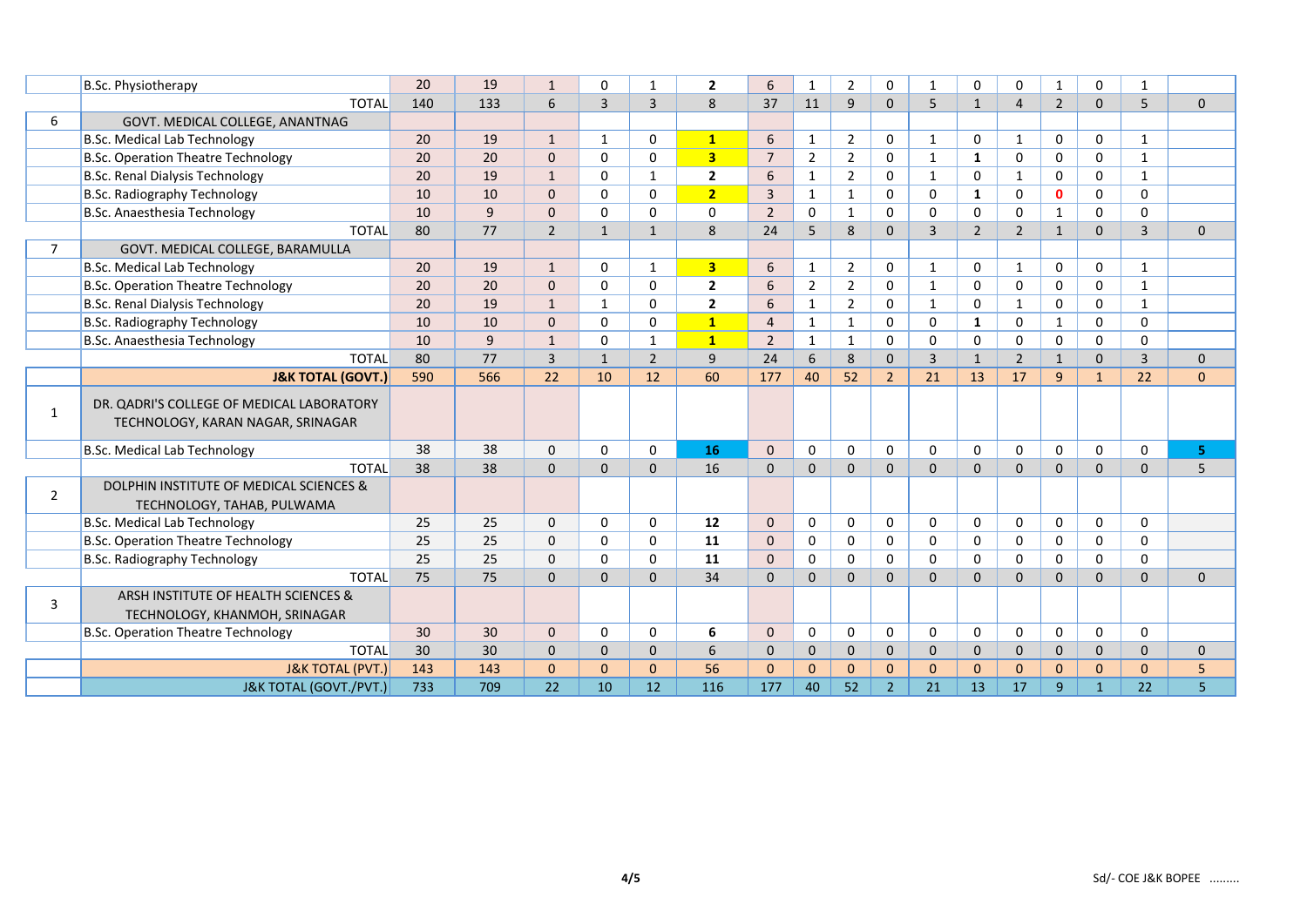|                | <b>B.Sc. Physiotherapy</b>                                                     | 20  | 19  | $\mathbf{1}$   | $\Omega$       |                | $\overline{2}$          | 6              | 1              | $\overline{2}$ | 0              |                | 0              | 0              | 1              | 0            | 1              |              |
|----------------|--------------------------------------------------------------------------------|-----|-----|----------------|----------------|----------------|-------------------------|----------------|----------------|----------------|----------------|----------------|----------------|----------------|----------------|--------------|----------------|--------------|
|                | <b>TOTAL</b>                                                                   | 140 | 133 | 6              | $\overline{3}$ | $\overline{3}$ | 8                       | 37             | 11             | 9              | $\Omega$       | 5              | $\mathbf{1}$   | $\overline{4}$ | $\overline{2}$ | $\mathbf{0}$ | 5              | $\mathbf 0$  |
| 6              | GOVT. MEDICAL COLLEGE, ANANTNAG                                                |     |     |                |                |                |                         |                |                |                |                |                |                |                |                |              |                |              |
|                | <b>B.Sc. Medical Lab Technology</b>                                            | 20  | 19  | $\mathbf{1}$   | 1              | $\Omega$       | $\mathbf{1}$            | 6              | $\mathbf{1}$   | $\overline{2}$ | 0              | $\mathbf{1}$   | 0              | 1              | 0              | $\mathbf 0$  | $\mathbf{1}$   |              |
|                | B.Sc. Operation Theatre Technology                                             | 20  | 20  | $\Omega$       | $\Omega$       | $\Omega$       | $\overline{\mathbf{3}}$ | $\overline{7}$ | 2              | $\overline{2}$ | $\Omega$       | $\mathbf{1}$   | 1              | $\Omega$       | $\Omega$       | $\mathbf 0$  | $\mathbf{1}$   |              |
|                | <b>B.Sc. Renal Dialysis Technology</b>                                         | 20  | 19  | $\mathbf{1}$   | 0              | $\mathbf{1}$   | $\mathbf{2}$            | 6              | 1              | $\overline{2}$ | $\Omega$       | $\mathbf{1}$   | 0              | 1              | 0              | $\mathbf 0$  | $\mathbf{1}$   |              |
|                | <b>B.Sc. Radiography Technology</b>                                            | 10  | 10  | 0              | $\Omega$       | $\Omega$       | $\overline{2}$          | $\overline{3}$ | $\mathbf{1}$   | $\mathbf{1}$   | $\Omega$       | 0              | $\mathbf{1}$   | $\Omega$       | $\mathbf{0}$   | $\Omega$     | $\Omega$       |              |
|                | B.Sc. Anaesthesia Technology                                                   | 10  | 9   | 0              | $\Omega$       | 0              | 0                       | $\overline{2}$ | $\mathbf 0$    | $\mathbf{1}$   | 0              | 0              | $\mathbf 0$    | 0              | 1              | $\mathbf 0$  | 0              |              |
|                | <b>TOTAL</b>                                                                   | 80  | 77  | $\overline{2}$ | $\overline{1}$ | $\mathbf{1}$   | 8                       | 24             | 5              | 8              | $\Omega$       | $\overline{3}$ | $\overline{2}$ | $\overline{2}$ | $\mathbf{1}$   | $\mathbf{0}$ | 3              | $\Omega$     |
| $\overline{7}$ | GOVT. MEDICAL COLLEGE, BARAMULLA                                               |     |     |                |                |                |                         |                |                |                |                |                |                |                |                |              |                |              |
|                | <b>B.Sc. Medical Lab Technology</b>                                            | 20  | 19  | $\mathbf{1}$   | $\mathbf{0}$   | 1              | 3                       | 6              | $\mathbf{1}$   | $\overline{2}$ | 0              | $\mathbf{1}$   | 0              | 1              | 0              | 0            | $\mathbf{1}$   |              |
|                | <b>B.Sc. Operation Theatre Technology</b>                                      | 20  | 20  | $\mathbf{0}$   | $\Omega$       | $\Omega$       | $\overline{2}$          | 6              | $\overline{2}$ | $\overline{2}$ | $\Omega$       | $\mathbf{1}$   | $\Omega$       | $\Omega$       | $\mathbf 0$    | $\Omega$     | $\mathbf{1}$   |              |
|                | <b>B.Sc. Renal Dialysis Technology</b>                                         | 20  | 19  | $\mathbf{1}$   | 1              | $\mathbf 0$    | $\overline{2}$          | 6              | $\mathbf{1}$   | $\overline{2}$ | 0              | $\mathbf{1}$   | $\mathbf 0$    | 1              | 0              | $\mathbf 0$  | $\mathbf{1}$   |              |
|                | <b>B.Sc. Radiography Technology</b>                                            | 10  | 10  | 0              | $\Omega$       | $\mathbf 0$    | $\mathbf{1}$            | $\overline{4}$ | $\mathbf{1}$   | $\mathbf{1}$   | $\Omega$       | $\Omega$       | $\mathbf{1}$   | $\Omega$       | $\mathbf{1}$   | $\Omega$     | $\Omega$       |              |
|                | B.Sc. Anaesthesia Technology                                                   | 10  | 9   | $\mathbf{1}$   | $\Omega$       | $\mathbf{1}$   | $\mathbf{1}$            | $\overline{2}$ | $\mathbf{1}$   | $\mathbf{1}$   | $\mathbf 0$    | 0              | 0              | 0              | 0              | $\mathbf 0$  | 0              |              |
|                | <b>TOTAL</b>                                                                   | 80  | 77  | $\overline{3}$ | $\overline{1}$ | $\overline{2}$ | 9                       | 24             | 6              | 8              | $\Omega$       | $\overline{3}$ | $\mathbf{1}$   | $\overline{2}$ | $\overline{1}$ | $\mathbf{0}$ | $\overline{3}$ | $\mathbf{0}$ |
|                | <b>J&amp;K TOTAL (GOVT.)</b>                                                   | 590 | 566 | 22             | 10             | 12             | 60                      | 177            | 40             | 52             | $\overline{2}$ | 21             | 13             | 17             | 9              | $\mathbf{1}$ | 22             | $\mathbf{0}$ |
| 1              | DR. QADRI'S COLLEGE OF MEDICAL LABORATORY<br>TECHNOLOGY, KARAN NAGAR, SRINAGAR |     |     |                |                |                |                         |                |                |                |                |                |                |                |                |              |                |              |
|                | <b>B.Sc. Medical Lab Technology</b>                                            | 38  | 38  | $\mathbf 0$    | 0              | $\mathbf 0$    | 16                      | $\mathbf{0}$   | $\mathbf 0$    | $\Omega$       | $\Omega$       | $\Omega$       | $\mathbf 0$    | $\Omega$       | $\mathbf 0$    | $\mathbf 0$  | 0              | 5            |
|                | <b>TOTAL</b>                                                                   | 38  | 38  | 0              | $\mathbf 0$    | $\mathbf{0}$   | 16                      | 0              | $\mathbf{0}$   | $\mathbf{0}$   | $\mathbf{0}$   | 0              | $\mathbf 0$    | $\mathbf{0}$   | $\mathbf{0}$   | $\mathbf{0}$ | 0              | 5            |
| $\overline{2}$ | DOLPHIN INSTITUTE OF MEDICAL SCIENCES &<br>TECHNOLOGY, TAHAB, PULWAMA          |     |     |                |                |                |                         |                |                |                |                |                |                |                |                |              |                |              |
|                | <b>B.Sc. Medical Lab Technology</b>                                            | 25  | 25  | $\mathbf 0$    | 0              | 0              | 12                      | 0              | $\mathbf 0$    | $\Omega$       | $\mathbf 0$    | 0              | $\mathbf 0$    | 0              | 0              | $\mathbf 0$  | 0              |              |
|                | <b>B.Sc. Operation Theatre Technology</b>                                      | 25  | 25  | $\mathbf 0$    | $\Omega$       | $\Omega$       | 11                      | $\mathbf{0}$   | $\mathbf 0$    | $\Omega$       | $\Omega$       | 0              | $\Omega$       | $\Omega$       | $\mathbf 0$    | $\mathbf 0$  | $\Omega$       |              |
|                | <b>B.Sc. Radiography Technology</b>                                            | 25  | 25  | 0              | $\Omega$       | $\Omega$       | 11                      | $\Omega$       | $\mathbf 0$    | 0              | 0              | 0              | $\mathbf 0$    | 0              | $\mathbf 0$    | $\mathbf 0$  | 0              |              |
|                | <b>TOTAL</b>                                                                   | 75  | 75  | 0              | $\Omega$       | $\Omega$       | 34                      | 0              | $\Omega$       | $\Omega$       | $\Omega$       | 0              | $\Omega$       | $\Omega$       | $\mathbf{0}$   | $\mathbf{0}$ | $\overline{0}$ | $\mathbf{0}$ |
| 3              | ARSH INSTITUTE OF HEALTH SCIENCES &<br>TECHNOLOGY, KHANMOH, SRINAGAR           |     |     |                |                |                |                         |                |                |                |                |                |                |                |                |              |                |              |
|                | <b>B.Sc. Operation Theatre Technology</b>                                      | 30  | 30  | $\Omega$       | $\Omega$       | $\Omega$       | 6                       | 0              | $\Omega$       | $\Omega$       | $\Omega$       | $\Omega$       | $\mathbf 0$    | $\Omega$       | $\Omega$       | $\Omega$     | $\Omega$       |              |
|                | <b>TOTAL</b>                                                                   | 30  | 30  | $\mathbf{0}$   | $\Omega$       | $\mathbf{0}$   | 6                       | 0              | $\mathbf{0}$   | $\mathbf{0}$   | $\mathbf{0}$   | 0              | $\mathbf 0$    | $\mathbf{0}$   | $\mathbf{0}$   | $\mathbf 0$  | 0              | $\mathbf{0}$ |
|                | <b>J&amp;K TOTAL (PVT.)</b>                                                    | 143 | 143 | $\mathbf{0}$   | $\Omega$       | $\Omega$       | 56                      | 0              | $\mathbf{0}$   | $\Omega$       | $\Omega$       | 0              | $\Omega$       | $\Omega$       | $\mathbf{0}$   | $\mathbf{0}$ | $\overline{0}$ | 5            |
|                | <b>J&amp;K TOTAL (GOVT./PVT.)</b>                                              | 733 | 709 | 22             | 10             | 12             | 116                     | 177            | 40             | 52             | $\overline{2}$ | 21             | 13             | 17             | 9              | $\mathbf{1}$ | 22             | 5            |